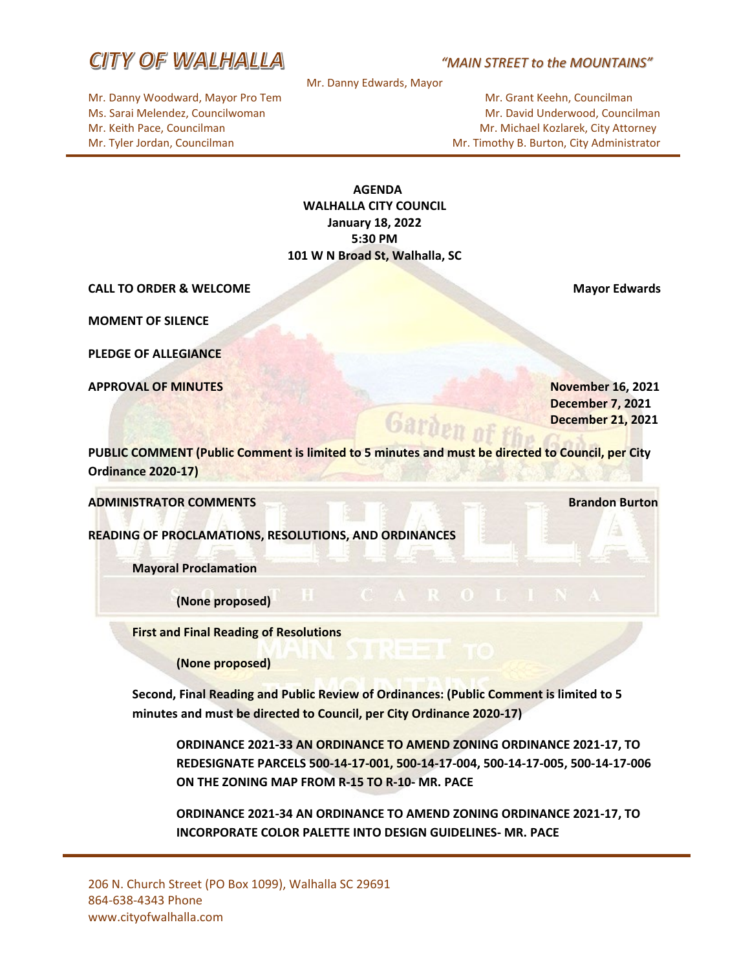CITY OF WALHALLA

## *"MAIN STREET to the MOUNTAINS"*

Mr. Danny Edwards, Mayor

Mr. Danny Woodward, Mayor Pro Tem Museum Mr. Grant Keehn, Councilman

Ms. Sarai Melendez, Councilwoman Mr. David Underwood, Councilman Mr. David Underwood, Councilman Mr. Keith Pace, Councilman Mr. Michael Kozlarek, City Attorney Mr. Tyler Jordan, Councilman Mr. Tyler Jordan, Councilman Mr. Timothy B. Burton, City Administrator

> **AGENDA WALHALLA CITY COUNCIL January 18, 2022 5:30 PM 101 W N Broad St, Walhalla, SC**

**CALL TO ORDER & WELCOME Mayor Edwards Mayor Edwards Mayor Edwards** 

**MOMENT OF SILENCE** 

**PLEDGE OF ALLEGIANCE** 

**APPROVAL OF MINUTES November 16, 2021**

 **December 7, 2021 December 21, 2021**

**PUBLIC COMMENT (Public Comment is limited to 5 minutes and must be directed to Council, per City Ordinance 2020-17)**

Garden of

**ADMINISTRATOR COMMENTS Brandon Burton Brandon Burton** 

**READING OF PROCLAMATIONS, RESOLUTIONS, AND ORDINANCES**

**Mayoral Proclamation**

**(None proposed)**

**First and Final Reading of Resolutions** 

**(None proposed)**

**Second, Final Reading and Public Review of Ordinances: (Public Comment is limited to 5 minutes and must be directed to Council, per City Ordinance 2020-17)**

**ORDINANCE 2021-33 AN ORDINANCE TO AMEND ZONING ORDINANCE 2021-17, TO REDESIGNATE PARCELS 500-14-17-001, 500-14-17-004, 500-14-17-005, 500-14-17-006 ON THE ZONING MAP FROM R-15 TO R-10- MR. PACE**

**ORDINANCE 2021-34 AN ORDINANCE TO AMEND ZONING ORDINANCE 2021-17, TO INCORPORATE COLOR PALETTE INTO DESIGN GUIDELINES- MR. PACE**

206 N. Church Street (PO Box 1099), Walhalla SC 29691 864-638-4343 Phone www.cityofwalhalla.com